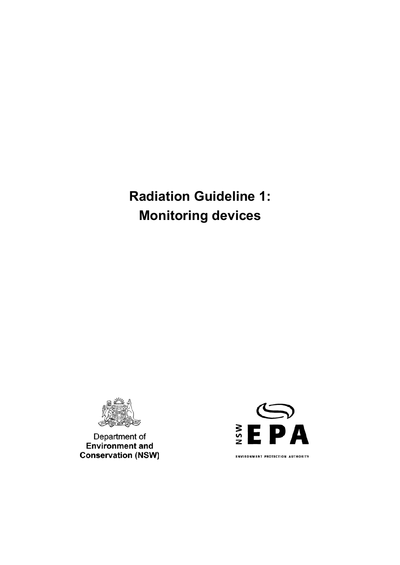**Radiation Guideline 1: Monitoring devices** 



Department of<br>Environment and **Conservation (NSW)** 



**ENVIRONMENT PROTECTION AUTHORITY**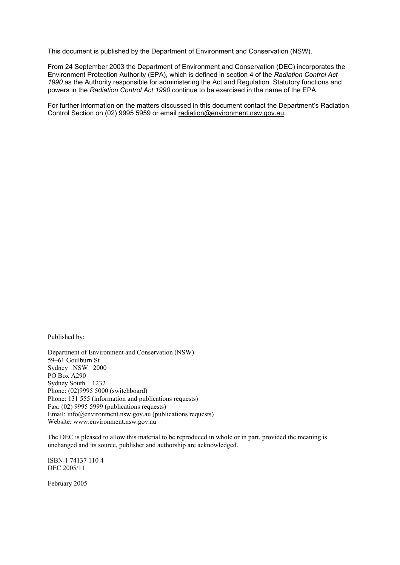This document is published by the Department of Environment and Conservation (NSW).

From 24 September 2003 the Department of Environment and Conservation (DEC) incorporates the Environment Protection Authority (EPA), which is defined in section 4 of the *Radiation Control Act 1990* as the Authority responsible for administering the Act and Regulation. Statutory functions and powers in the *Radiation Control Act 1990* continue to be exercised in the name of the EPA.

For further information on the matters discussed in this document contact the Department's Radiation Control Section on (02) 9995 5959 or email radiation@environment.nsw.gov.au.

Published by:

Department of Environment and Conservation (NSW) 59–61 Goulburn St Sydney NSW 2000 PO Box A290 Sydney South 1232 Phone: (02)9995 5000 (switchboard) Phone: 131 555 (information and publications requests) Fax: (02) 9995 5999 (publications requests) Email: info@environment.nsw.gov.au (publications requests) Website: www.environment.nsw.gov.au

The DEC is pleased to allow this material to be reproduced in whole or in part, provided the meaning is unchanged and its source, publisher and authorship are acknowledged.

ISBN 1 74137 110 4 DEC 2005/11

February 2005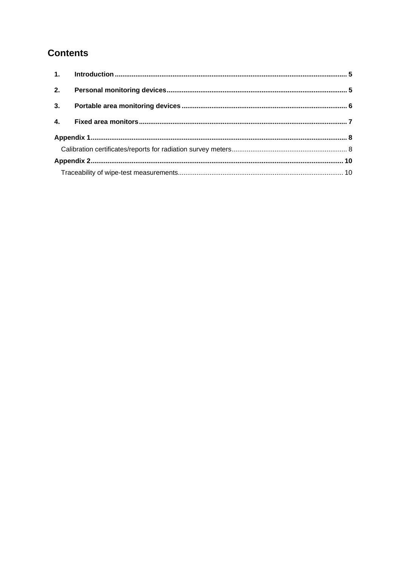# **Contents**

| 2.               |  |  |
|------------------|--|--|
| 3.               |  |  |
| $\overline{4}$ . |  |  |
|                  |  |  |
|                  |  |  |
|                  |  |  |
|                  |  |  |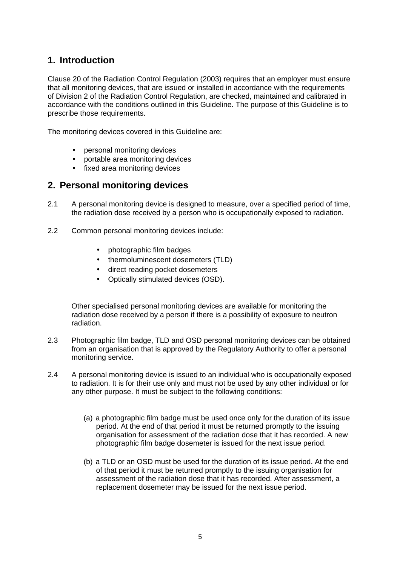## **1. Introduction**

Clause 20 of the Radiation Control Regulation (2003) requires that an employer must ensure that all monitoring devices, that are issued or installed in accordance with the requirements of Division 2 of the Radiation Control Regulation, are checked, maintained and calibrated in accordance with the conditions outlined in this Guideline. The purpose of this Guideline is to prescribe those requirements.

The monitoring devices covered in this Guideline are:

- personal monitoring devices
- portable area monitoring devices
- fixed area monitoring devices

#### **2. Personal monitoring devices**

- 2.1 A personal monitoring device is designed to measure, over a specified period of time, the radiation dose received by a person who is occupationally exposed to radiation.
- 2.2 Common personal monitoring devices include:
	- photographic film badges
	- thermoluminescent dosemeters (TLD)
	- direct reading pocket dosemeters
	- Optically stimulated devices (OSD).

Other specialised personal monitoring devices are available for monitoring the radiation dose received by a person if there is a possibility of exposure to neutron radiation.

- 2.3 Photographic film badge, TLD and OSD personal monitoring devices can be obtained from an organisation that is approved by the Regulatory Authority to offer a personal monitoring service.
- 2.4 A personal monitoring device is issued to an individual who is occupationally exposed to radiation. It is for their use only and must not be used by any other individual or for any other purpose. It must be subject to the following conditions:
	- (a) a photographic film badge must be used once only for the duration of its issue period. At the end of that period it must be returned promptly to the issuing organisation for assessment of the radiation dose that it has recorded. A new photographic film badge dosemeter is issued for the next issue period.
	- (b) a TLD or an OSD must be used for the duration of its issue period. At the end of that period it must be returned promptly to the issuing organisation for assessment of the radiation dose that it has recorded. After assessment, a replacement dosemeter may be issued for the next issue period.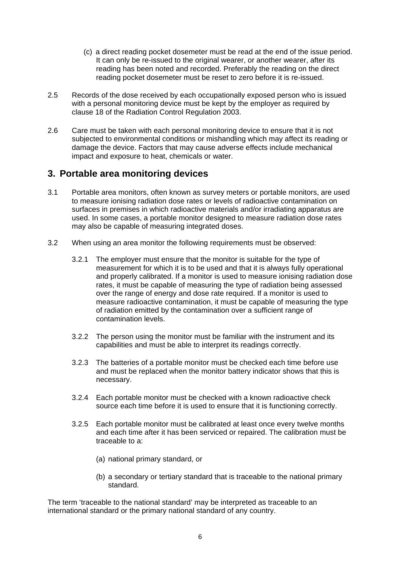- (c) a direct reading pocket dosemeter must be read at the end of the issue period. It can only be re-issued to the original wearer, or another wearer, after its reading has been noted and recorded. Preferably the reading on the direct reading pocket dosemeter must be reset to zero before it is re-issued.
- 2.5 Records of the dose received by each occupationally exposed person who is issued with a personal monitoring device must be kept by the employer as required by clause 18 of the Radiation Control Regulation 2003.
- 2.6 Care must be taken with each personal monitoring device to ensure that it is not subjected to environmental conditions or mishandling which may affect its reading or damage the device. Factors that may cause adverse effects include mechanical impact and exposure to heat, chemicals or water.

### **3. Portable area monitoring devices**

- 3.1 Portable area monitors, often known as survey meters or portable monitors, are used to measure ionising radiation dose rates or levels of radioactive contamination on surfaces in premises in which radioactive materials and/or irradiating apparatus are used. In some cases, a portable monitor designed to measure radiation dose rates may also be capable of measuring integrated doses.
- 3.2 When using an area monitor the following requirements must be observed:
	- 3.2.1 The employer must ensure that the monitor is suitable for the type of measurement for which it is to be used and that it is always fully operational and properly calibrated. If a monitor is used to measure ionising radiation dose rates, it must be capable of measuring the type of radiation being assessed over the range of energy and dose rate required. If a monitor is used to measure radioactive contamination, it must be capable of measuring the type of radiation emitted by the contamination over a sufficient range of contamination levels.
	- 3.2.2 The person using the monitor must be familiar with the instrument and its capabilities and must be able to interpret its readings correctly.
	- 3.2.3 The batteries of a portable monitor must be checked each time before use and must be replaced when the monitor battery indicator shows that this is necessary.
	- 3.2.4 Each portable monitor must be checked with a known radioactive check source each time before it is used to ensure that it is functioning correctly.
	- 3.2.5 Each portable monitor must be calibrated at least once every twelve months and each time after it has been serviced or repaired. The calibration must be traceable to a:
		- (a) national primary standard, or
		- (b) a secondary or tertiary standard that is traceable to the national primary standard.

The term 'traceable to the national standard' may be interpreted as traceable to an international standard or the primary national standard of any country.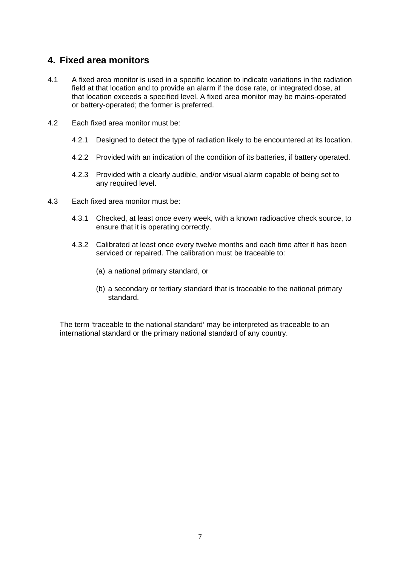### **4. Fixed area monitors**

- 4.1 A fixed area monitor is used in a specific location to indicate variations in the radiation field at that location and to provide an alarm if the dose rate, or integrated dose, at that location exceeds a specified level. A fixed area monitor may be mains-operated or battery-operated; the former is preferred.
- 4.2 Each fixed area monitor must be:
	- 4.2.1 Designed to detect the type of radiation likely to be encountered at its location.
	- 4.2.2 Provided with an indication of the condition of its batteries, if battery operated.
	- 4.2.3 Provided with a clearly audible, and/or visual alarm capable of being set to any required level.
- 4.3 Each fixed area monitor must be:
	- 4.3.1 Checked, at least once every week, with a known radioactive check source, to ensure that it is operating correctly.
	- 4.3.2 Calibrated at least once every twelve months and each time after it has been serviced or repaired. The calibration must be traceable to:
		- (a) a national primary standard, or
		- (b) a secondary or tertiary standard that is traceable to the national primary standard.

The term 'traceable to the national standard' may be interpreted as traceable to an international standard or the primary national standard of any country.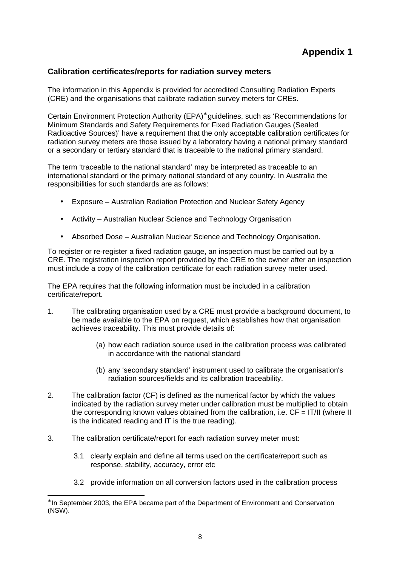#### **Calibration certificates/reports for radiation survey meters**

The information in this Appendix is provided for accredited Consulting Radiation Experts (CRE) and the organisations that calibrate radiation survey meters for CREs.

Certain Environment Protection Authority (EPA)<sup>\*</sup> guidelines, such as 'Recommendations for Minimum Standards and Safety Requirements for Fixed Radiation Gauges (Sealed Radioactive Sources)' have a requirement that the only acceptable calibration certificates for radiation survey meters are those issued by a laboratory having a national primary standard or a secondary or tertiary standard that is traceable to the national primary standard.

The term 'traceable to the national standard' may be interpreted as traceable to an international standard or the primary national standard of any country. In Australia the responsibilities for such standards are as follows:

- Exposure Australian Radiation Protection and Nuclear Safety Agency
- Activity Australian Nuclear Science and Technology Organisation
- Absorbed Dose Australian Nuclear Science and Technology Organisation.

To register or re-register a fixed radiation gauge, an inspection must be carried out by a CRE. The registration inspection report provided by the CRE to the owner after an inspection must include a copy of the calibration certificate for each radiation survey meter used.

The EPA requires that the following information must be included in a calibration certificate/report.

- 1. The calibrating organisation used by a CRE must provide a background document, to be made available to the EPA on request, which establishes how that organisation achieves traceability. This must provide details of:
	- (a) how each radiation source used in the calibration process was calibrated in accordance with the national standard
	- (b) any 'secondary standard' instrument used to calibrate the organisation's radiation sources/fields and its calibration traceability.
- 2. The calibration factor (CF) is defined as the numerical factor by which the values indicated by the radiation survey meter under calibration must be multiplied to obtain the corresponding known values obtained from the calibration, i.e.  $CF = IT/II$  (where II is the indicated reading and IT is the true reading).
- 3. The calibration certificate/report for each radiation survey meter must:

l

- 3.1 clearly explain and define all terms used on the certificate/report such as response, stability, accuracy, error etc
- 3.2 provide information on all conversion factors used in the calibration process

<sup>∗</sup> In September 2003, the EPA became part of the Department of Environment and Conservation (NSW).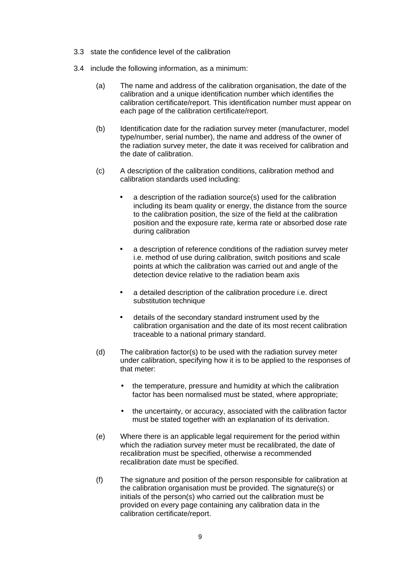- 3.3 state the confidence level of the calibration
- 3.4 include the following information, as a minimum:
	- (a) The name and address of the calibration organisation, the date of the calibration and a unique identification number which identifies the calibration certificate/report. This identification number must appear on each page of the calibration certificate/report.
	- (b) Identification date for the radiation survey meter (manufacturer, model type/number, serial number), the name and address of the owner of the radiation survey meter, the date it was received for calibration and the date of calibration.
	- (c) A description of the calibration conditions, calibration method and calibration standards used including:
		- a description of the radiation source(s) used for the calibration including its beam quality or energy, the distance from the source to the calibration position, the size of the field at the calibration position and the exposure rate, kerma rate or absorbed dose rate during calibration
		- a description of reference conditions of the radiation survey meter i.e. method of use during calibration, switch positions and scale points at which the calibration was carried out and angle of the detection device relative to the radiation beam axis
		- a detailed description of the calibration procedure i.e. direct substitution technique
		- details of the secondary standard instrument used by the calibration organisation and the date of its most recent calibration traceable to a national primary standard.
	- (d) The calibration factor(s) to be used with the radiation survey meter under calibration, specifying how it is to be applied to the responses of that meter:
		- the temperature, pressure and humidity at which the calibration factor has been normalised must be stated, where appropriate;
		- the uncertainty, or accuracy, associated with the calibration factor must be stated together with an explanation of its derivation.
	- (e) Where there is an applicable legal requirement for the period within which the radiation survey meter must be recalibrated, the date of recalibration must be specified, otherwise a recommended recalibration date must be specified.
	- (f) The signature and position of the person responsible for calibration at the calibration organisation must be provided. The signature(s) or initials of the person(s) who carried out the calibration must be provided on every page containing any calibration data in the calibration certificate/report.